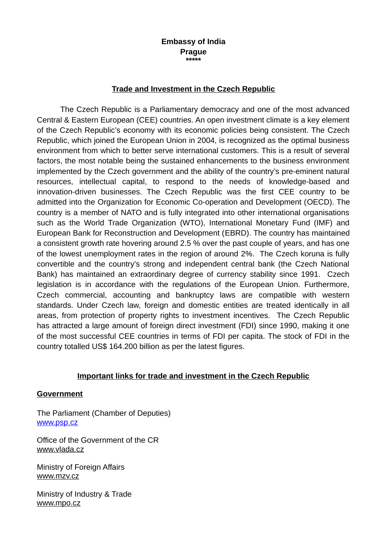#### **Embassy of India Prague \*\*\*\*\***

## **Trade and Investment in the Czech Republic**

The Czech Republic is a Parliamentary democracy and one of the most advanced Central & Eastern European (CEE) countries. An open investment climate is a key element of the Czech Republic's economy with its economic policies being consistent. The Czech Republic, which joined the European Union in 2004, is recognized as the optimal business environment from which to better serve international customers. This is a result of several factors, the most notable being the sustained enhancements to the business environment implemented by the Czech government and the ability of the country's pre-eminent natural resources, intellectual capital, to respond to the needs of knowledge-based and innovation-driven businesses. The Czech Republic was the first CEE country to be admitted into the Organization for Economic Co-operation and Development (OECD). The country is a member of NATO and is fully integrated into other international organisations such as the World Trade Organization (WTO), International Monetary Fund (IMF) and European Bank for Reconstruction and Development (EBRD). The country has maintained a consistent growth rate hovering around 2.5 % over the past couple of years, and has one of the lowest unemployment rates in the region of around 2%. The Czech koruna is fully convertible and the country's strong and independent central bank (the Czech National Bank) has maintained an extraordinary degree of currency stability since 1991. Czech legislation is in accordance with the regulations of the European Union. Furthermore, Czech commercial, accounting and bankruptcy laws are compatible with western standards. Under Czech law, foreign and domestic entities are treated identically in all areas, from protection of property rights to investment incentives. The Czech Republic has attracted a large amount of foreign direct investment (FDI) since 1990, making it one of the most successful CEE countries in terms of FDI per capita. The stock of FDI in the country totalled US\$ 164.200 billion as per the latest figures.

#### **Important links for trade and investment in the Czech Republic**

#### **Government**

The Parliament (Chamber of Deputies) [www.psp.cz](http://www.psp.cz/)

Office of the Government of the CR [www.vlada.cz](http://www.vlada.cz/)

Ministry of Foreign Affairs  [www. mzv. cz](http://www.mzv.cz/)

Ministry of Industry & Trade [www.mpo.cz](http://www.mpo.cz/)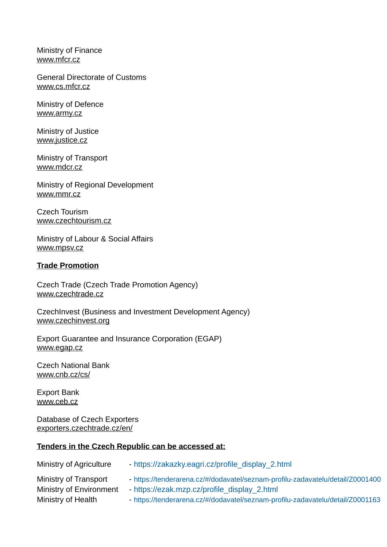Ministry of Finance [www.mfcr.cz](http://www.mfcr.cz/)

General Directorate of Customs [www.cs.mfcr.cz](http://www.cs.mfcr.cz/)

Ministry of Defence [www.army.cz](http://www.army.cz/)

Ministry of Justice [www.justice.cz](http://www.justice.cz/)

Ministry of Transport [www.mdcr.cz](http://www.mdcr.cz/)

Ministry of Regional Development [www.mmr.cz](http://www.mmr.cz/)

Czech Tourism [www.czechtourism.cz](https://www.czechtourism.cz/)

Ministry of Labour & Social Affairs [www.mpsv.cz](http://www.mpsv.cz/)

### **Trade Promotion**

Czech Trade (Czech Trade Promotion Agency) [www.czechtrade.cz](http://www.czechtrade.cz/)

CzechInvest (Business and Investment Development Agency) [www.czechinvest.org](http://www.czechinvest.org/)

Export Guarantee and Insurance Corporation (EGAP) [www.egap.cz](http://www.egap.cz/)

Czech National Bank [www.cnb.cz/cs/](http://www.cnb.cz/cs/)

Export Bank [www.ceb.cz](http://www.ceb.cz/)

Database of Czech Exporters [exporters.czechtrade.cz/en/](https://exporters.czechtrade.cz/en/)

## **Tenders in the Czech Republic can be accessed at:**

| Ministry of Agriculture | - https://zakazky.eagri.cz/profile display 2.html                              |
|-------------------------|--------------------------------------------------------------------------------|
| Ministry of Transport   | - https://tenderarena.cz/#/dodavatel/seznam-profilu-zadavatelu/detail/Z0001400 |
| Ministry of Environment | - https://ezak.mzp.cz/profile_display_2.html                                   |
| Ministry of Health      | - https://tenderarena.cz/#/dodavatel/seznam-profilu-zadavatelu/detail/Z0001163 |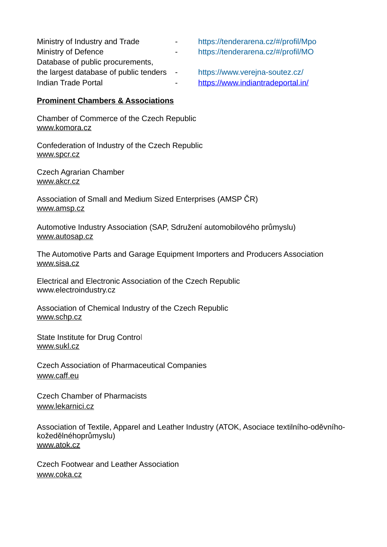| Ministry of Industry and Trade           | $\sim$ 100 $\mu$ | https://tenderarena.cz/#/profil/Mpo |
|------------------------------------------|------------------|-------------------------------------|
| Ministry of Defence                      | $\sim 100$       | https://tenderarena.cz/#/profil/MO  |
| Database of public procurements,         |                  |                                     |
| the largest database of public tenders - |                  | https://www.verejna-soutez.cz/      |
| Indian Trade Portal                      | $\sim$ 100 $\mu$ | https://www.indiantradeportal.in/   |

## **Prominent Chambers & Associations**

Chamber of Commerce of the Czech Republic [www.komora.cz](http://www.komora.cz/)

Confederation of Industry of the Czech Republic [www.spcr.cz](http://www.spcr.cz/)

Czech Agrarian Chamber [www.akcr.cz](http://www.akcr.cz/)

Association of Small and Medium Sized Enterprises (AMSP ČR) [www.amsp.cz](http://amsp.cz/?lang=en)

Automotive Industry Association (SAP, Sdružení automobilového průmyslu) [www.autosap.cz](http://www.autosap.cz/)

The Automotive Parts and Garage Equipment Importers and Producers Association [www.sisa.cz](http://www.sisa.cz/)

Electrical and Electronic Association of the Czech Republic [www.electroindustry.cz](http://www.electroindustry.cz/)

Association of Chemical Industry of the Czech Republic [www.schp.cz](http://www.electroindustry.cz/)

State Institute for Drug Control [www.sukl.cz](http://www.electroindustry.cz/)

Czech Association of Pharmaceutical Companies [www.caff.eu](http://www.electroindustry.cz/)

Czech Chamber of Pharmacists [www.lekarnici.cz](http://www.lekarnici.cz/)

Association of Textile, Apparel and Leather Industry (ATOK, Asociace textilního-oděvníhokožedělnéhoprůmyslu) [www.atok.cz](http://www.atok.cz/)

Czech Footwear and Leather Association [www.coka.cz](http://www.coka.cz/)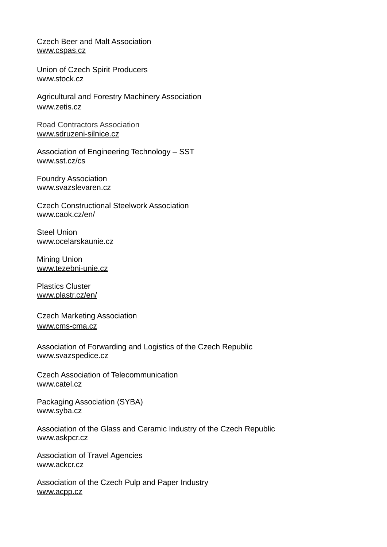Czech Beer and Malt Association [www.cspas.cz](http://www.electroindustry.cz/)

Union of Czech Spirit Producers [www.stock.cz](http://www.stock.cz/)

Agricultural and Forestry Machinery Association [www.zetis.cz](http://www.electroindustry.cz/)

Road Contractors Association [www.sdruzeni-silnice.cz](https://www.sdruzeni-silnice.cz/en-GB/)

Association of Engineering Technology – SST [www.sst.cz/cs](http://www.sst.cz/cs)

Foundry Association [www.svazslevaren.cz](https://www.svazslevaren.cz/cs/)

Czech Constructional Steelwork Association [www.caok.cz/en/](http://www.caok.cz/en/)

Steel Union [www.ocelarskaunie.cz](https://www.ocelarskaunie.cz/?lang=en)

Mining Union [www.tezebni-unie.cz](http://www.tezebni-unie.cz/)

Plastics Cluster [www.plastr.cz/en/](http://www.plastr.cz/en/)

Czech Marketing Association [www.cms-cma.cz](http://www.cms-cma.cz/)

Association of Forwarding and Logistics of the Czech Republic [www.svazspedice.cz](http://www.svazspedice.cz/)

Czech Association of Telecommunication [www.catel.cz](http://www.catel.cz/)

Packaging Association (SYBA) [www.syba.cz](http://www.syba.cz/)

Association of the Glass and Ceramic Industry of the Czech Republic [www.askpcr.cz](http://www.askpcr.cz/)

Association of Travel Agencies [www.ackcr.cz](http://www.ackcr.cz/)

Association of the Czech Pulp and Paper Industry [www.acpp.cz](http://www.ackcr.cz/)